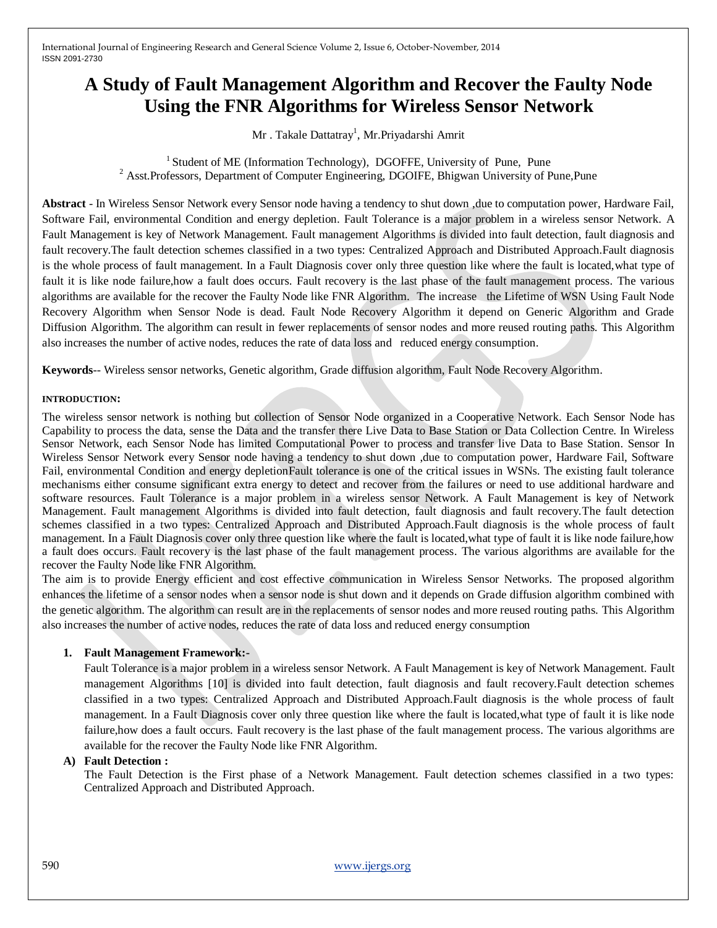# **A Study of Fault Management Algorithm and Recover the Faulty Node Using the FNR Algorithms for Wireless Sensor Network**

Mr . Takale Dattatray<sup>1</sup>, Mr.Priyadarshi Amrit

 $1$  Student of ME (Information Technology), DGOFFE, University of Pune, Pune  $2$  Asst. Professors, Department of Computer Engineering, DGOIFE, Bhigwan University of Pune, Pune

**Abstract** - In Wireless Sensor Network every Sensor node having a tendency to shut down ,due to computation power, Hardware Fail, Software Fail, environmental Condition and energy depletion. Fault Tolerance is a major problem in a wireless sensor Network. A Fault Management is key of Network Management. Fault management Algorithms is divided into fault detection, fault diagnosis and fault recovery.The fault detection schemes classified in a two types: Centralized Approach and Distributed Approach.Fault diagnosis is the whole process of fault management. In a Fault Diagnosis cover only three question like where the fault is located,what type of fault it is like node failure,how a fault does occurs. Fault recovery is the last phase of the fault management process. The various algorithms are available for the recover the Faulty Node like FNR Algorithm. The increase the Lifetime of WSN Using Fault Node Recovery Algorithm when Sensor Node is dead. Fault Node Recovery Algorithm it depend on Generic Algorithm and Grade Diffusion Algorithm. The algorithm can result in fewer replacements of sensor nodes and more reused routing paths. This Algorithm also increases the number of active nodes, reduces the rate of data loss and reduced energy consumption.

**Keywords**-- Wireless sensor networks, Genetic algorithm, Grade diffusion algorithm, Fault Node Recovery Algorithm.

## **INTRODUCTION:**

The wireless sensor network is nothing but collection of Sensor Node organized in a Cooperative Network. Each Sensor Node has Capability to process the data, sense the Data and the transfer there Live Data to Base Station or Data Collection Centre. In Wireless Sensor Network, each Sensor Node has limited Computational Power to process and transfer live Data to Base Station. Sensor In Wireless Sensor Network every Sensor node having a tendency to shut down ,due to computation power, Hardware Fail, Software Fail, environmental Condition and energy depletionFault tolerance is one of the critical issues in WSNs. The existing fault tolerance mechanisms either consume significant extra energy to detect and recover from the failures or need to use additional hardware and software resources. Fault Tolerance is a major problem in a wireless sensor Network. A Fault Management is key of Network Management. Fault management Algorithms is divided into fault detection, fault diagnosis and fault recovery.The fault detection schemes classified in a two types: Centralized Approach and Distributed Approach.Fault diagnosis is the whole process of fault management. In a Fault Diagnosis cover only three question like where the fault is located,what type of fault it is like node failure,how a fault does occurs. Fault recovery is the last phase of the fault management process. The various algorithms are available for the recover the Faulty Node like FNR Algorithm.

The aim is to provide Energy efficient and cost effective communication in Wireless Sensor Networks. The proposed algorithm enhances the lifetime of a sensor nodes when a sensor node is shut down and it depends on Grade diffusion algorithm combined with the genetic algorithm. The algorithm can result are in the replacements of sensor nodes and more reused routing paths. This Algorithm also increases the number of active nodes, reduces the rate of data loss and reduced energy consumption

# **1. Fault Management Framework:-**

Fault Tolerance is a major problem in a wireless sensor Network. A Fault Management is key of Network Management. Fault management Algorithms [10] is divided into fault detection, fault diagnosis and fault recovery.Fault detection schemes classified in a two types: Centralized Approach and Distributed Approach.Fault diagnosis is the whole process of fault management. In a Fault Diagnosis cover only three question like where the fault is located,what type of fault it is like node failure,how does a fault occurs. Fault recovery is the last phase of the fault management process. The various algorithms are available for the recover the Faulty Node like FNR Algorithm.

# **A) Fault Detection :**

The Fault Detection is the First phase of a Network Management. Fault detection schemes classified in a two types: Centralized Approach and Distributed Approach.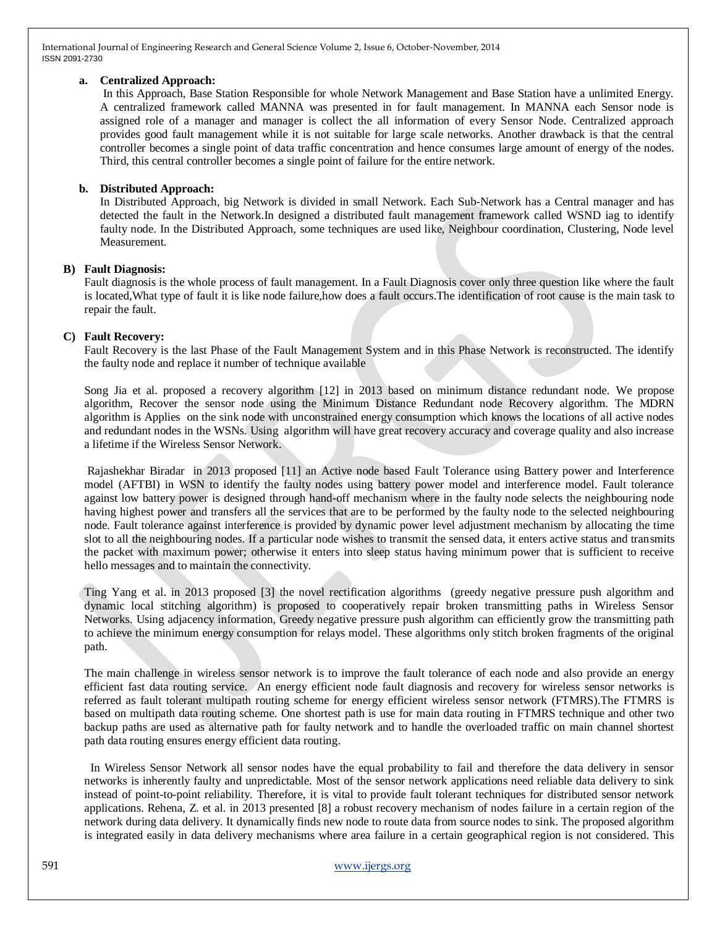# **a. Centralized Approach:**

In this Approach, Base Station Responsible for whole Network Management and Base Station have a unlimited Energy. A centralized framework called MANNA was presented in for fault management. In MANNA each Sensor node is assigned role of a manager and manager is collect the all information of every Sensor Node. Centralized approach provides good fault management while it is not suitable for large scale networks. Another drawback is that the central controller becomes a single point of data traffic concentration and hence consumes large amount of energy of the nodes. Third, this central controller becomes a single point of failure for the entire network.

## **b. Distributed Approach:**

In Distributed Approach, big Network is divided in small Network. Each Sub-Network has a Central manager and has detected the fault in the Network.In designed a distributed fault management framework called WSND iag to identify faulty node. In the Distributed Approach, some techniques are used like, Neighbour coordination, Clustering, Node level Measurement.

# **B) Fault Diagnosis:**

Fault diagnosis is the whole process of fault management. In a Fault Diagnosis cover only three question like where the fault is located,What type of fault it is like node failure,how does a fault occurs.The identification of root cause is the main task to repair the fault.

## **C) Fault Recovery:**

Fault Recovery is the last Phase of the Fault Management System and in this Phase Network is reconstructed. The identify the faulty node and replace it number of technique available

Song Jia et al. proposed a recovery algorithm [12] in 2013 based on minimum distance redundant node. We propose algorithm, Recover the sensor node using the Minimum Distance Redundant node Recovery algorithm. The MDRN algorithm is Applies on the sink node with unconstrained energy consumption which knows the locations of all active nodes and redundant nodes in the WSNs. Using algorithm will have great recovery accuracy and coverage quality and also increase a lifetime if the Wireless Sensor Network.

Rajashekhar Biradar in 2013 proposed [11] an Active node based Fault Tolerance using Battery power and Interference model (AFTBI) in WSN to identify the faulty nodes using battery power model and interference model. Fault tolerance against low battery power is designed through hand-off mechanism where in the faulty node selects the neighbouring node having highest power and transfers all the services that are to be performed by the faulty node to the selected neighbouring node. Fault tolerance against interference is provided by dynamic power level adjustment mechanism by allocating the time slot to all the neighbouring nodes. If a particular node wishes to transmit the sensed data, it enters active status and transmits the packet with maximum power; otherwise it enters into sleep status having minimum power that is sufficient to receive hello messages and to maintain the connectivity.

Ting Yang et al. in 2013 proposed [3] the novel rectification algorithms (greedy negative pressure push algorithm and dynamic local stitching algorithm) is proposed to cooperatively repair broken transmitting paths in Wireless Sensor Networks. Using adjacency information, Greedy negative pressure push algorithm can efficiently grow the transmitting path to achieve the minimum energy consumption for relays model. These algorithms only stitch broken fragments of the original path.

The main challenge in wireless sensor network is to improve the fault tolerance of each node and also provide an energy efficient fast data routing service. An energy efficient node fault diagnosis and recovery for wireless sensor networks is referred as fault tolerant multipath routing scheme for energy efficient wireless sensor network (FTMRS).The FTMRS is based on multipath data routing scheme. One shortest path is use for main data routing in FTMRS technique and other two backup paths are used as alternative path for faulty network and to handle the overloaded traffic on main channel shortest path data routing ensures energy efficient data routing.

 In Wireless Sensor Network all sensor nodes have the equal probability to fail and therefore the data delivery in sensor networks is inherently faulty and unpredictable. Most of the sensor network applications need reliable data delivery to sink instead of point-to-point reliability. Therefore, it is vital to provide fault tolerant techniques for distributed sensor network applications. Rehena, Z. et al. in 2013 presented [8] a robust recovery mechanism of nodes failure in a certain region of the network during data delivery. It dynamically finds new node to route data from source nodes to sink. The proposed algorithm is integrated easily in data delivery mechanisms where area failure in a certain geographical region is not considered. This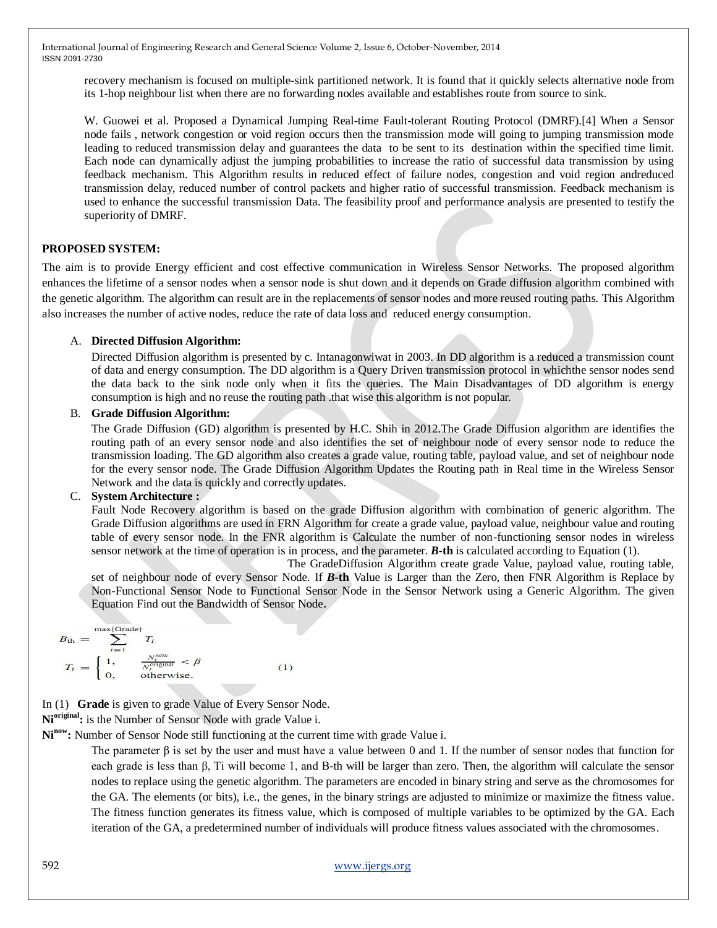recovery mechanism is focused on multiple-sink partitioned network. It is found that it quickly selects alternative node from its 1-hop neighbour list when there are no forwarding nodes available and establishes route from source to sink.

W. Guowei et al. Proposed a Dynamical Jumping Real-time Fault-tolerant Routing Protocol (DMRF).[4] When a Sensor node fails , network congestion or void region occurs then the transmission mode will going to jumping transmission mode leading to reduced transmission delay and guarantees the data to be sent to its destination within the specified time limit. Each node can dynamically adjust the jumping probabilities to increase the ratio of successful data transmission by using feedback mechanism. This Algorithm results in reduced effect of failure nodes, congestion and void region andreduced transmission delay, reduced number of control packets and higher ratio of successful transmission. Feedback mechanism is used to enhance the successful transmission Data. The feasibility proof and performance analysis are presented to testify the superiority of DMRF.

# **PROPOSED SYSTEM:**

The aim is to provide Energy efficient and cost effective communication in Wireless Sensor Networks. The proposed algorithm enhances the lifetime of a sensor nodes when a sensor node is shut down and it depends on Grade diffusion algorithm combined with the genetic algorithm. The algorithm can result are in the replacements of sensor nodes and more reused routing paths. This Algorithm also increases the number of active nodes, reduce the rate of data loss and reduced energy consumption.

# A. **Directed Diffusion Algorithm:**

Directed Diffusion algorithm is presented by c. Intanagonwiwat in 2003. In DD algorithm is a reduced a transmission count of data and energy consumption. The DD algorithm is a Query Driven transmission protocol in whichthe sensor nodes send the data back to the sink node only when it fits the queries. The Main Disadvantages of DD algorithm is energy consumption is high and no reuse the routing path .that wise this algorithm is not popular.

## B. **Grade Diffusion Algorithm:**

The Grade Diffusion (GD) algorithm is presented by H.C. Shih in 2012.The Grade Diffusion algorithm are identifies the routing path of an every sensor node and also identifies the set of neighbour node of every sensor node to reduce the transmission loading. The GD algorithm also creates a grade value, routing table, payload value, and set of neighbour node for the every sensor node. The Grade Diffusion Algorithm Updates the Routing path in Real time in the Wireless Sensor Network and the data is quickly and correctly updates.

# C. **System Architecture :**

Fault Node Recovery algorithm is based on the grade Diffusion algorithm with combination of generic algorithm. The Grade Diffusion algorithms are used in FRN Algorithm for create a grade value, payload value, neighbour value and routing table of every sensor node. In the FNR algorithm is Calculate the number of non-functioning sensor nodes in wireless sensor network at the time of operation is in process, and the parameter. *B-***th** is calculated according to Equation (1).

 The GradeDiffusion Algorithm create grade Value, payload value, routing table, set of neighbour node of every Sensor Node. If *B-***th** Value is Larger than the Zero, then FNR Algorithm is Replace by Non-Functional Sensor Node to Functional Sensor Node in the Sensor Network using a Generic Algorithm. The given Equation Find out the Bandwidth of Sensor Node.

$$
B_{\text{th}} = \sum_{i=1}^{\max(\text{Grade})} T_i
$$
  
\n
$$
T_i = \begin{cases} 1, & \frac{N_i^{\text{now}}}{N_i^{\text{original}}} < \beta \\ 0, & \text{otherwise.} \end{cases}
$$
 (1)

In (1) **Grade** is given to grade Value of Every Sensor Node.

**Nioriginal:** is the Number of Sensor Node with grade Value i.

**Ninow:** Number of Sensor Node still functioning at the current time with grade Value i.

The parameter  $\beta$  is set by the user and must have a value between 0 and 1. If the number of sensor nodes that function for each grade is less than β, Ti will become 1, and B-th will be larger than zero. Then, the algorithm will calculate the sensor nodes to replace using the genetic algorithm. The parameters are encoded in binary string and serve as the chromosomes for the GA. The elements (or bits), i.e., the genes, in the binary strings are adjusted to minimize or maximize the fitness value. The fitness function generates its fitness value, which is composed of multiple variables to be optimized by the GA. Each iteration of the GA, a predetermined number of individuals will produce fitness values associated with the chromosomes.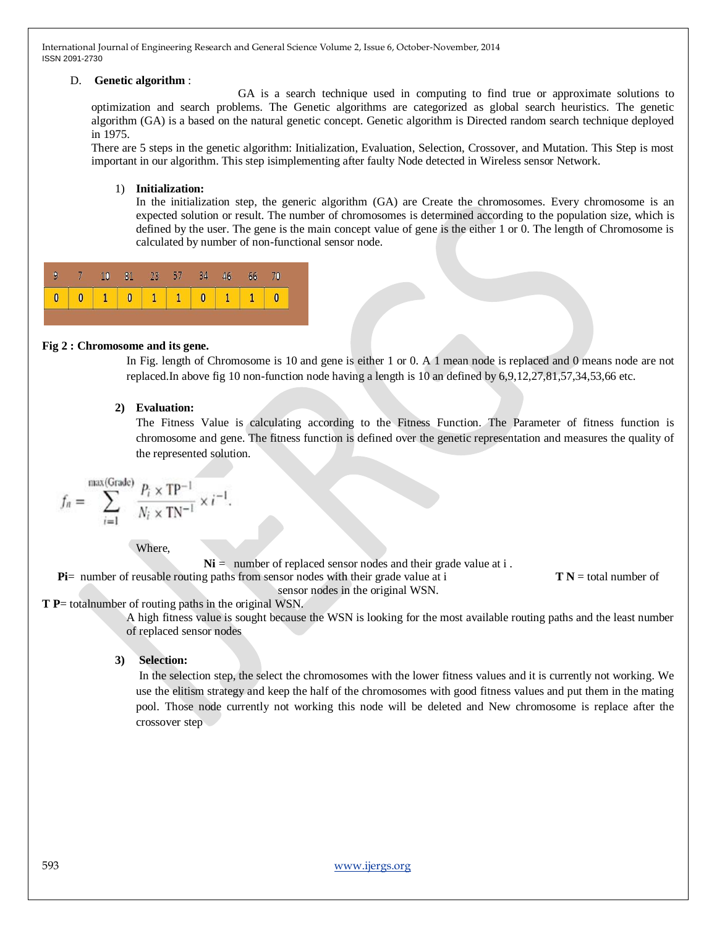# D. **Genetic algorithm** :

 GA is a search technique used in computing to find true or approximate solutions to optimization and search problems. The Genetic algorithms are categorized as global search heuristics. The genetic algorithm (GA) is a based on the natural genetic concept. Genetic algorithm is Directed random search technique deployed in 1975.

There are 5 steps in the genetic algorithm: Initialization, Evaluation, Selection, Crossover, and Mutation. This Step is most important in our algorithm. This step isimplementing after faulty Node detected in Wireless sensor Network.

#### 1) **Initialization:**

In the initialization step, the generic algorithm (GA) are Create the chromosomes. Every chromosome is an expected solution or result. The number of chromosomes is determined according to the population size, which is defined by the user. The gene is the main concept value of gene is the either 1 or 0. The length of Chromosome is calculated by number of non-functional sensor node.

|  | 9 7 10 81 23 57 34 46 |  |  |  |  |
|--|-----------------------|--|--|--|--|
|  | 0 0 1 0 1 1 0 1 1 0   |  |  |  |  |

#### **Fig 2 : Chromosome and its gene.**

In Fig. length of Chromosome is 10 and gene is either 1 or 0. A 1 mean node is replaced and 0 means node are not replaced.In above fig 10 non-function node having a length is 10 an defined by 6,9,12,27,81,57,34,53,66 etc.

# **2) Evaluation:**

The Fitness Value is calculating according to the Fitness Function. The Parameter of fitness function is chromosome and gene. The fitness function is defined over the genetic representation and measures the quality of the represented solution.

$$
f_n = \sum_{i=1}^{\max(\text{Grade})} \frac{P_i \times \text{TP}^{-1}}{N_i \times \text{TN}^{-1}} \times i^{-1}
$$

Where,

 $Ni =$  number of replaced sensor nodes and their grade value at i.

**Pi**= number of reusable routing paths from sensor nodes with their grade value at i **T N** = total number of

sensor nodes in the original WSN.

# **T P**= totalnumber of routing paths in the original WSN.

A high fitness value is sought because the WSN is looking for the most available routing paths and the least number of replaced sensor nodes

# **3) Selection:**

In the selection step, the select the chromosomes with the lower fitness values and it is currently not working. We use the elitism strategy and keep the half of the chromosomes with good fitness values and put them in the mating pool. Those node currently not working this node will be deleted and New chromosome is replace after the crossover step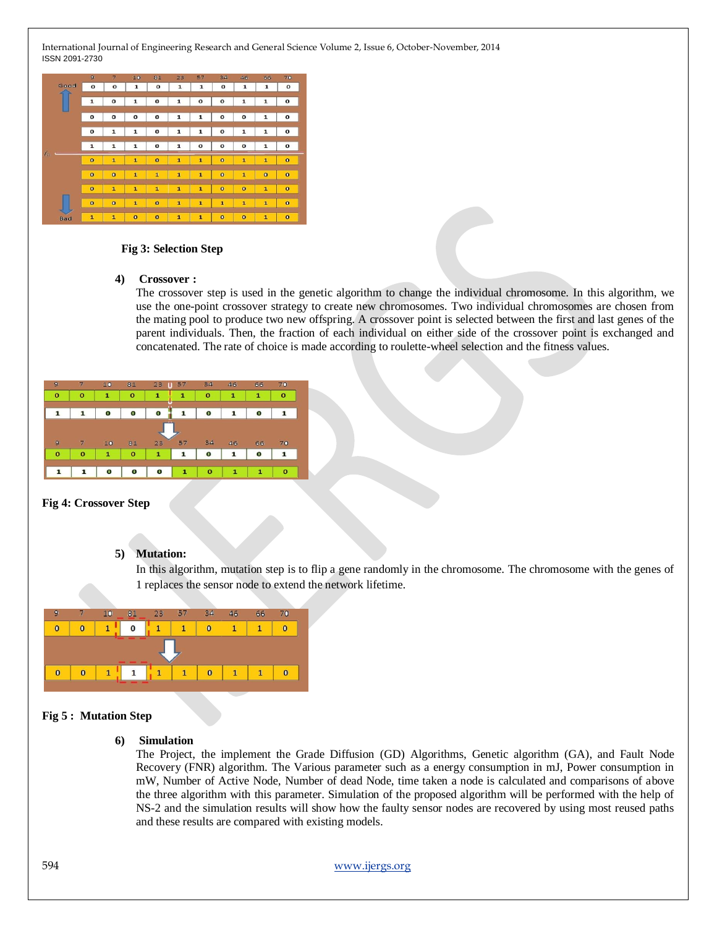

#### **Fig 3: Selection Step**

#### **4) Crossover :**

The crossover step is used in the genetic algorithm to change the individual chromosome. In this algorithm, we use the one-point crossover strategy to create new chromosomes. Two individual chromosomes are chosen from the mating pool to produce two new offspring. A crossover point is selected between the first and last genes of the parent individuals. Then, the fraction of each individual on either side of the crossover point is exchanged and concatenated. The rate of choice is made according to roulette-wheel selection and the fitness values.

| 9            |              | 10           | 81           | 23<br>4P     | 57           | 34          | 46           | 66           | 70           |
|--------------|--------------|--------------|--------------|--------------|--------------|-------------|--------------|--------------|--------------|
| $\bf{o}$     | $\mathbf o$  | 1            | $\bf{o}$     | 1            | 1            | $\bf o$     | 1            | 1            | o            |
|              |              |              |              |              |              |             |              |              |              |
|              |              | О            | o            | O            |              | o           | 1            | o            |              |
| 9            |              | 10           | 81           | 23           | 57           | 34          | 46           | 66           | 70           |
| $\mathbf{o}$ | $\mathbf{o}$ | $\mathbf{1}$ | $\mathbf{o}$ | $\mathbf{1}$ | 1            | 0           | 1            | 0            |              |
|              |              |              |              |              | $\mathbf{1}$ | $\mathbf 0$ | $\mathbf{1}$ | $\mathbf{1}$ | $\mathbf{o}$ |

# **Fig 4: Crossover Step**

#### **5) Mutation:**

In this algorithm, mutation step is to flip a gene randomly in the chromosome. The chromosome with the genes of 1 replaces the sensor node to extend the network lifetime.



## **Fig 5 : Mutation Step**

#### **6) Simulation**

The Project, the implement the Grade Diffusion (GD) Algorithms, Genetic algorithm (GA), and Fault Node Recovery (FNR) algorithm. The Various parameter such as a energy consumption in mJ, Power consumption in mW, Number of Active Node, Number of dead Node, time taken a node is calculated and comparisons of above the three algorithm with this parameter. Simulation of the proposed algorithm will be performed with the help of NS-2 and the simulation results will show how the faulty sensor nodes are recovered by using most reused paths and these results are compared with existing models.

594 www.ijergs.org